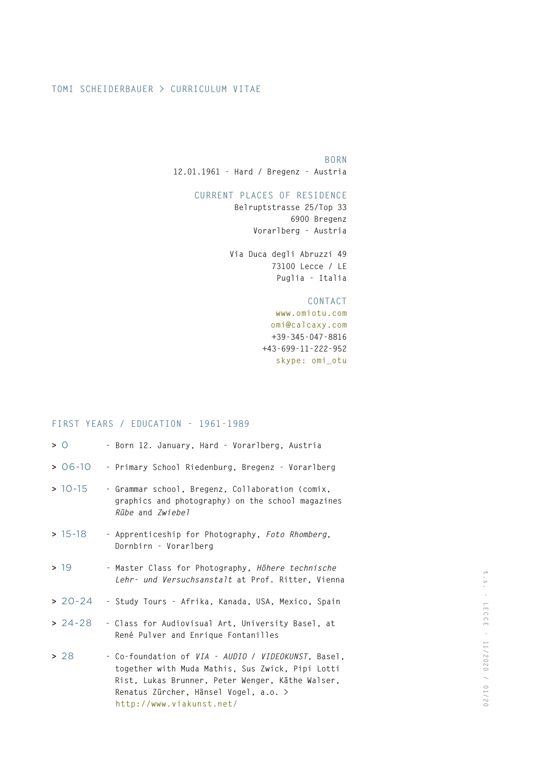## **TOMI SCHEIDERBAUER > CURRICULUM VITAE**

# **BORN**

**12.01.1961 - Hard / Bregenz - Austria**

# **CURRENT PLACES OF RESIDENCE**

**Belruptstrasse 25/Top 33 6900 Bregenz Vorarlberg - Austria**

**Via Duca degli Abruzzi 49 73100 Lecce / LE Puglia - Italia**

## **CONTACT**

**www.omiotu.com omi@calcaxy.com +39-345-047-8816 +43-699-11-222-952 skype: omi\_otu**

# **FIRST YEARS / EDUCATION - 1961-1989**

| > 0         | - Born 12. January, Hard - Vorarlberg, Austria                                                                                                                                                                                   |
|-------------|----------------------------------------------------------------------------------------------------------------------------------------------------------------------------------------------------------------------------------|
| $> 06-10$   | - Primary School Riedenburg, Bregenz - Vorarlberg                                                                                                                                                                                |
| $> 10 - 15$ | - Grammar school, Bregenz, Collaboration (comix,<br>graphics and photography) on the school magazines<br>Rübe and Zwiebel                                                                                                        |
| $> 15 - 18$ | - Apprenticeship for Photography, Foto Rhomberg,<br>Dornbirn - Vorarlberg                                                                                                                                                        |
| > 19        | - Master Class for Photography, Höhere technische<br>Lehr- und Versuchsanstalt at Prof. Ritter, Vienna                                                                                                                           |
| $> 20 - 24$ | - Study Tours - Afrika, Kanada, USA, Mexico, Spain                                                                                                                                                                               |
| $> 24-28$   | - Class for Audiovisual Art, University Basel, at<br>René Pulver and Enrique Fontanilles                                                                                                                                         |
| > 28        | - Co-foundation of VIA - AUDIO / VIDEOKUNST, Basel,<br>together with Muda Mathis, Sus Zwick, Pipi Lotti<br>Rist, Lukas Brunner, Peter Wenger, Käthe Walser,<br>Renatus Zürcher, Hänsel Vogel, a.o. ><br>http://www.viakunst.net/ |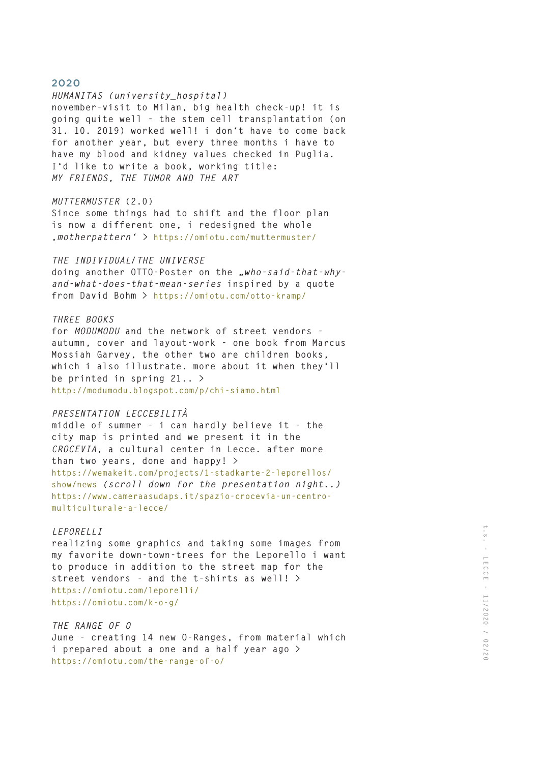#### *HUMANITAS (university\_hospital)*

**november-visit to Milan, big health check-up! it is going quite well - the stem cell transplantation (on 31. 10. 2019) worked well! i don't have to come back for another year, but every three months i have to have my blood and kidney values checked in Puglia. I'd like to write a book, working title:** *MY FRIENDS, THE TUMOR AND THE ART* 

#### *MUTTERMUSTER* **(2.0)**

**Since some things had to shift and the floor plan is now a different one, i redesigned the whole '***motherpattern' >* **https://omiotu.com/muttermuster/**

#### *THE INDIVIDUAL/THE UNIVERSE*

**doing another OTTO-Poster on the** *"who-said-that-whyand-what-does-that-mean-series* **inspired by a quote from David Bohm > https://omiotu.com/otto-kramp/**

### *THREE BOOKS*

**for** *MODUMODU* **and the network of street vendors autumn, cover and layout-work - one book from Marcus Mossiah Garvey, the other two are children books, which i also illustrate. more about it when they'll be printed in spring 21.. > http://modumodu.blogspot.com/p/chi-siamo.html** 

#### *PRESENTATION LECCEBILITÀ*

**middle of summer - i can hardly believe it - the city map is printed and we present it in the**  *CROCEVIA***, a cultural center in Lecce. after more than two years, done and happy! > https://wemakeit.com/projects/1-stadkarte-2-leporellos/ show/news** *(scroll down for the presentation night..)* **https://www.cameraasudaps.it/spazio-crocevia-un-centromulticulturale-a-lecce/**

#### *LEPORELLI*

**realizing some graphics and taking some images from my favorite down-town-trees for the Leporello i want to produce in addition to the street map for the street vendors** *-* **and the t-shirts as well! > https://omiotu.com/leporelli/ https://omiotu.com/k-o-g/**

### *THE RANGE OF O*

**June - creating 14 new O-Ranges, from material which i prepared about a one and a half year ago > https://omiotu.com/the-range-of-o/**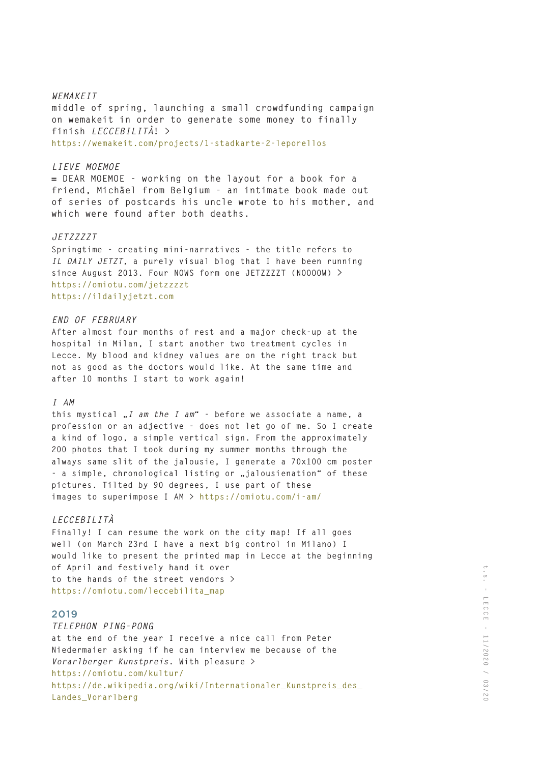### *WEMAKEIT*

**middle of spring, launching a small crowdfunding campaign on wemakeit in order to generate some money to finally finish** *LECCEBILITÀ***! > https://wemakeit.com/projects/1-stadkarte-2-leporellos** 

#### *LIEVE MOEMOE*

**= DEAR MOEMOE - working on the layout for a book for a friend, Michäel from Belgium - an intimate book made out of series of postcards his uncle wrote to his mother, and which were found after both deaths.** 

### *JETZZZZT*

**Springtime - creating mini-narratives - the title refers to**  *IL DAILY JETZT***, a purely visual blog that I have been running since August 2013. Four NOWS form one JETZZZZT (NOOOOW) > https://omiotu.com/jetzzzzt https://ildailyjetzt.com**

### *END OF FEBRUARY*

**After almost four months of rest and a major check-up at the hospital in Milan, I start another two treatment cycles in Lecce. My blood and kidney values are on the right track but not as good as the doctors would like. At the same time and after 10 months I start to work again!**

#### *I AM*

**this mystical "***I am the I am***" - before we associate a name, a profession or an adjective - does not let go of me. So I create a kind of logo, a simple vertical sign. From the approximately 200 photos that I took during my summer months through the always same slit of the jalousie, I generate a 70x100 cm poster**  - a simple, chronological listing or "jalousienation" of these **pictures. Tilted by 90 degrees, I use part of these images to superimpose I AM > https://omiotu.com/i-am/** 

# *LECCEBILITÀ*

**Finally! I can resume the work on the city map! If all goes well (on March 23rd I have a next big control in Milano) I would like to present the printed map in Lecce at the beginning of April and festively hand it over to the hands of the street vendors > https://omiotu.com/leccebilita\_map**

# 2019

## *TELEPHON PING-PONG*

**at the end of the year I receive a nice call from Peter Niedermaier asking if he can interview me because of the**  *Vorarlberger Kunstpreis***. With pleasure > https://omiotu.com/kultur/ https://de.wikipedia.org/wiki/Internationaler\_Kunstpreis\_des\_ Landes\_Vorarlberg**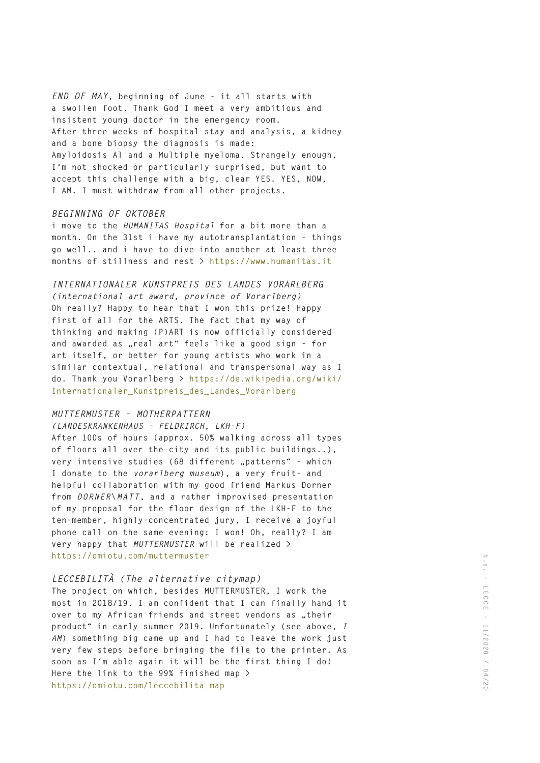*END OF MAY***, beginning of June - it all starts with a swollen foot. Thank God I meet a very ambitious and insistent young doctor in the emergency room. After three weeks of hospital stay and analysis, a kidney and a bone biopsy the diagnosis is made: Amyloidosis Al and a Multiple myeloma. Strangely enough, I'm not shocked or particularly surprised, but want to accept this challenge with a big, clear YES. YES, NOW, I AM. I must withdraw from all other projects.**

# *BEGINNING OF OKTOBER*

**i move to the** *HUMANITAS Hospital* **for a bit more than a month. On the 31st i have my autotransplantation - things go well.. and i have to dive into another at least three months of stillness and rest > https://www.humanitas.it**

# *INTERNATIONALER KUNSTPREIS DES LANDES VORARLBERG*

*(international art award, province of Vorarlberg)* **Oh really? Happy to hear that I won this prize! Happy first of all for the ARTS. The fact that my way of thinking and making (P)ART is now officially considered**  and awarded as "real art" feels like a good sign - for **art itself, or better for young artists who work in a similar contextual, relational and transpersonal way as I do. Thank you Vorarlberg > https://de.wikipedia.org/wiki/ Internationaler\_Kunstpreis\_des\_Landes\_Vorarlberg**

#### *MUTTERMUSTER - MOTHERPATTERN*

### *(LANDESKRANKENHAUS - FELDKIRCH, LKH-F)*

**After 100s of hours (approx. 50% walking across all types of floors all over the city and its public buildings..),**  very intensive studies (68 different "patterns" - which **I donate to the** *vorarlberg museum***), a very fruit- and helpful collaboration with my good friend Markus Dorner from** *DORNER\MATT***, and a rather improvised presentation of my proposal for the floor design of the LKH-F to the ten-member, highly-concentrated jury, I receive a joyful phone call on the same evening: I won! Oh, really? I am very happy that** *MUTTERMUSTER* **will be realized > https://omiotu.com/muttermuster**

# *LECCEBILITÀ (The alternative citymap)*

**The project on which, besides MUTTERMUSTER, I work the most in 2018/19. I am confident that I can finally hand it**  over to my African friends and street vendors as "their **product" in early summer 2019. Unfortunately (see above,** *I AM***) something big came up and I had to leave the work just very few steps before bringing the file to the printer. As soon as I'm able again it will be the first thing I do! Here the link to the 99% finished map > https://omiotu.com/leccebilita\_map**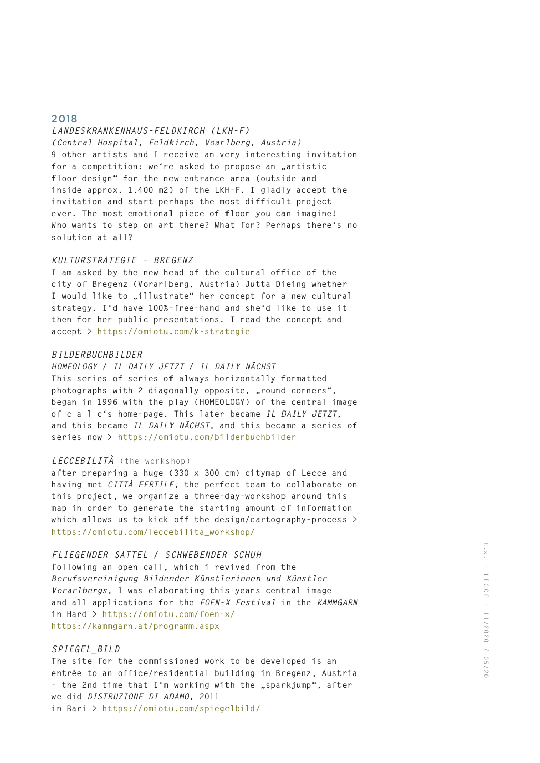### *LANDESKRANKENHAUS-FELDKIRCH (LKH-F)*

*(Central Hospital, Feldkirch, Voarlberg, Austria)* **9 other artists and I receive an very interesting invitation**  for a competition: we're asked to propose an "artistic **floor design" for the new entrance area (outside and inside approx. 1,400 m2) of the LKH-F. I gladly accept the invitation and start perhaps the most difficult project ever. The most emotional piece of floor you can imagine! Who wants to step on art there? What for? Perhaps there's no solution at all?** 

#### *KULTURSTRATEGIE - BREGENZ*

**I am asked by the new head of the cultural office of the city of Bregenz (Vorarlberg, Austria) Jutta Dieing whether**  I would like to "illustrate" her concept for a new cultural **strategy. I'd have 100%-free-hand and she'd like to use it then for her public presentations. I read the concept and accept > https://omiotu.com/k-strategie**

### *BILDERBUCHBILDER*

*HOMEOLOGY / IL DAILY JETZT / IL DAILY NÄCHST* **This series of series of always horizontally formatted**  photographs with 2 diagonally opposite, "round corners", **began in 1996 with the play (HOMEOLOGY) of the central image of c a l c's home-page. This later became** *IL DAILY JETZT***, and this became** *IL DAILY NÄCHST***, and this became a series of series now > https://omiotu.com/bilderbuchbilder**

### *LECCEBILITÀ* (the workshop)

**after preparing a huge (330 x 300 cm) citymap of Lecce and having met** *CITTÀ FERTILE***, the perfect team to collaborate on this project, we organize a three-day-workshop around this map in order to generate the starting amount of information which allows us to kick off the design/cartography-process > https://omiotu.com/leccebilita\_workshop/**

#### *FLIEGENDER SATTEL / SCHWEBENDER SCHUH*

**following an open call, which i revived from the**  *Berufsvereinigung Bildender Künstlerinnen und Künstler Vorarlbergs***, I was elaborating this years central image and all applications for the** *FOEN-X Festival* **in the** *KAMMGARN* **in Hard > https://omiotu.com/foen-x/ https://kammgarn.at/programm.aspx**

## *SPIEGEL\_BILD*

**The site for the commissioned work to be developed is an entrée to an office/residential building in Bregenz, Austria**  - the 2nd time that I'm working with the "sparkjump", after **we did** *DISTRUZIONE DI ADAMO***, 2011 in Bari > https://omiotu.com/spiegelbild/**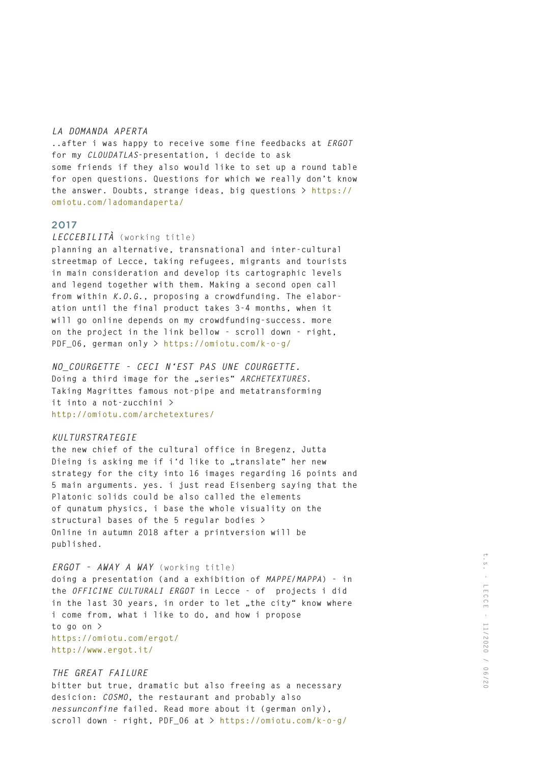#### *LA DOMANDA APERTA*

**..after i was happy to receive some fine feedbacks at** *ERGOT* **for my** *CLOUDATLAS***-presentation, i decide to ask some friends if they also would like to set up a round table for open questions. Questions for which we really don't know the answer. Doubts, strange ideas, big questions > https:// omiotu.com/ladomandaperta/**

#### 2017

#### *LECCEBILITÀ* (working title)

**planning an alternative, transnational and inter-cultural streetmap of Lecce, taking refugees, migrants and tourists in main consideration and develop its cartographic levels and legend together with them. Making a second open call from within** *K.O.G.***, proposing a crowdfunding. The elaboration until the final product takes 3-4 months, when it will go online depends on my crowdfunding-success. more on the project in the link bellow - scroll down - right, PDF\_06, german only > https://omiotu.com/k-o-g/**

# *NO\_COURGETTE - CECI N'EST PAS UNE COURGETTE.*

Doing a third image for the "series" *ARCHETEXTURES*. **Taking Magrittes famous not-pipe and metatransforming it into a not-zucchini > http://omiotu.com/archetextures/**

#### *KULTURSTRATEGIE*

**the new chief of the cultural office in Bregenz, Jutta**  Dieing is asking me if i'd like to "translate" her new **strategy for the city into 16 images regarding 16 points and 5 main arguments. yes. i just read Eisenberg saying that the Platonic solids could be also called the elements of qunatum physics, i base the whole visuality on the structural bases of the 5 regular bodies > Online in autumn 2018 after a printversion will be published.**

# *ERGOT - AWAY A WAY* (working title)

**doing a presentation (and a exhibition of** *MAPPE/MAPPA***) - in the** *OFFICINE CULTURALI ERGOT* **in Lecce - of projects i did**  in the last 30 years, in order to let "the city" know where **i come from, what i like to do, and how i propose to go on > https://omiotu.com/ergot/ http://www.ergot.it/**

#### *THE GREAT FAILURE*

**bitter but true, dramatic but also freeing as a necessary desicion:** *COSMO***, the restaurant and probably also**  *nessunconfine* **failed. Read more about it (german only), scroll down - right, PDF\_06 at > https://omiotu.com/k-o-g/**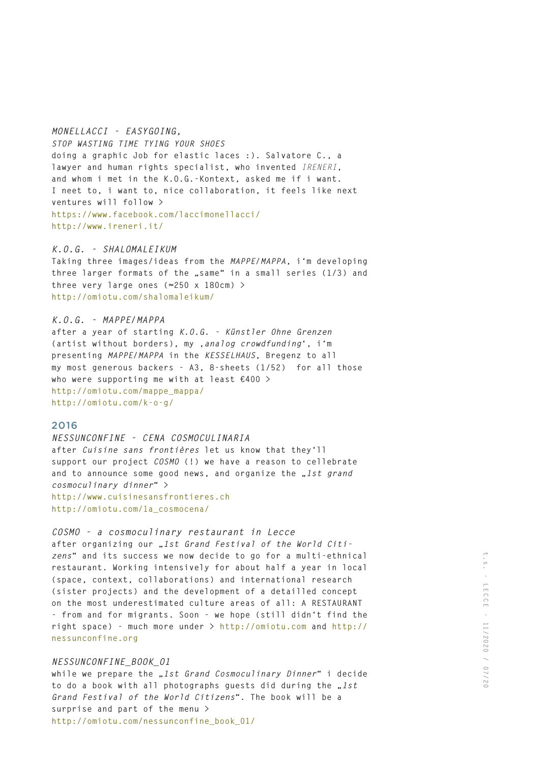### *MONELLACCI - EASYGOING,*

*STOP WASTING TIME TYING YOUR SHOES* **doing a graphic Job for elastic laces :). Salvatore C., a lawyer and human rights specialist, who invented** *IRENERI***, and whom i met in the K.O.G.-Kontext, asked me if i want. I neet to, i want to, nice collaboration, it feels like next ventures will follow > https://www.facebook.com/laccimonellacci/ http://www.ireneri.it/**

## *K.O.G. - SHALOMALEIKUM*

**Taking three images/ideas from the** *MAPPE/MAPPA***, i'm developing**  three larger formats of the "same" in a small series (1/3) and **three very large ones (≈250 x 180cm) > http://omiotu.com/shalomaleikum/**

#### *K.O.G. - MAPPE/MAPPA*

**after a year of starting** *K.O.G. - Künstler Ohne Grenzen*  (artist without borders), my , analog crowdfunding<sup>\*</sup>, i'm **presenting** *MAPPE/MAPPA* **in the** *KESSELHAUS***, Bregenz to all my most generous backers - A3, 8-sheets (1/52) for all those who were supporting me with at least €400 > http://omiotu.com/mappe\_mappa/ http://omiotu.com/k-o-g/**

# 2016

### *NESSUNCONFINE - CENA COSMOCULINARIA*

**after** *Cuisine sans frontières* **let us know that they'll support our project** *COSMO* **(!) we have a reason to cellebrate**  and to announce some good news, and organize the "1st grand *cosmoculinary dinner***" > http://www.cuisinesansfrontieres.ch http://omiotu.com/1a\_cosmocena/**

# *COSMO - a cosmoculinary restaurant in Lecce*

after organizing our ..1st Grand Festival of the World Citi*zens***" and its success we now decide to go for a multi-ethnical restaurant. Working intensively for about half a year in local (space, context, collaborations) and international research (sister projects) and the development of a detailled concept on the most underestimated culture areas of all: A RESTAURANT - from and for migrants. Soon - we hope (still didn't find the right space) - much more under > http://omiotu.com and http:// nessunconfine.org**

#### *NESSUNCONFINE\_BOOK\_O1*

**while we prepare the "***1st Grand Cosmoculinary Dinner***" i decide**  to do a book with all photographs guests did during the "1st *Grand Festival of the World Citizens***". The book will be a surprise and part of the menu > http://omiotu.com/nessunconfine\_book\_01/**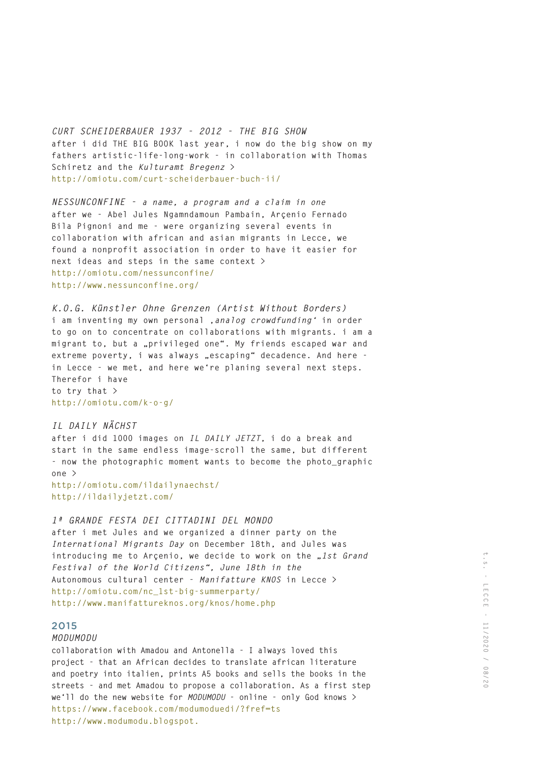*CURT SCHEIDERBAUER 1937 - 2012 - THE BIG SHOW* **after i did THE BIG BOOK last year, i now do the big show on my fathers artistic-life-long-work - in collaboration with Thomas Schiretz and the** *Kulturamt Bregenz* **> http://omiotu.com/curt-scheiderbauer-buch-ii/**

*NESSUNCONFINE - a name, a program and a claim in one*  **after we - Abel Jules Ngamndamoun Pambain, Arçenio Fernado Bila Pignoni and me - were organizing several events in collaboration with african and asian migrants in Lecce, we found a nonprofit association in order to have it easier for next ideas and steps in the same context > http://omiotu.com/nessunconfine/ http://www.nessunconfine.org/**

*K.O.G. Künstler Ohne Grenzen (Artist Without Borders)* **i am inventing my own personal '***analog crowdfunding'* **in order to go on to concentrate on collaborations with migrants. i am a migrant to, but a "privileged one". My friends escaped war and extreme poverty, i was always "escaping" decadence. And here in Lecce - we met, and here we're planing several next steps. Therefor i have to try that > http://omiotu.com/k-o-g/**

### *IL DAILY NÄCHST*

**after i did 1000 images on** *IL DAILY JETZT***, i do a break and start in the same endless image-scroll the same, but different - now the photographic moment wants to become the photo\_graphic one >**

**http://omiotu.com/ildailynaechst/ http://ildailyjetzt.com/**

# *1ª GRANDE FESTA DEI CITTADINI DEL MONDO*

**after i met Jules and we organized a dinner party on the**  *International Migrants Day* **on December 18th, and Jules was**  introducing me to Arcenio, we decide to work on the "1st Grand *Festival of the World Citizens", June 18th in the*  **Autonomous cultural center -** *Manifatture KNOS* **in Lecce > http://omiotu.com/nc\_1st-big-summerparty/ http://www.manifattureknos.org/knos/home.php**

## 2015

### *MODUMODU*

**collaboration with Amadou and Antonella - I always loved this project - that an African decides to translate african literature and poetry into italien, prints A5 books and sells the books in the streets - and met Amadou to propose a collaboration. As a first step we'll do the new website for** *MODUMODU* **- online - only God knows > https://www.facebook.com/modumoduedi/?fref=ts http://www.modumodu.blogspot.**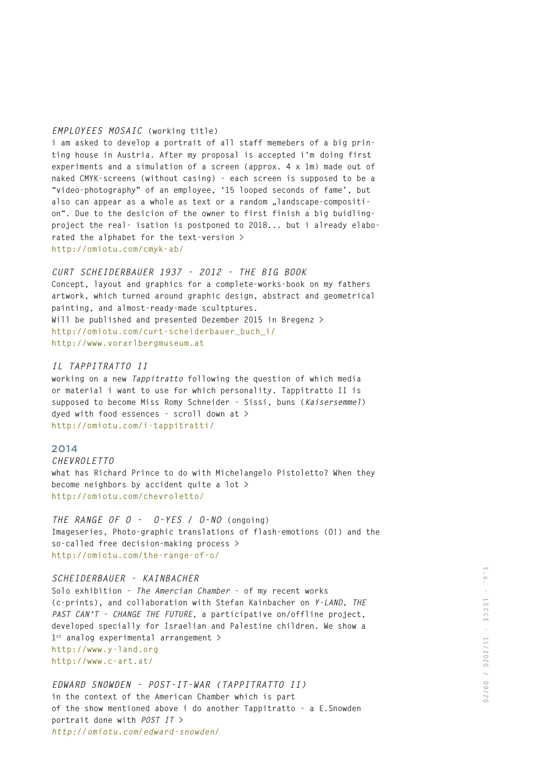#### *EMPLOYEES MOSAIC* **(working title)**

**i am asked to develop a portrait of all staff memebers of a big printing house in Austria. After my proposal is accepted i'm doing first experiments and a simulation of a screen (approx. 4 x 1m) made out of naked CMYK-screens (without casing) - each screen is supposed to be a "video-photography" of an employee, '15 looped seconds of fame', but**  also can appear as a whole as text or a random "landscape-compositi**on". Due to the desicion of the owner to first finish a big buidlingproject the real- isation is postponed to 2018... but i already elaborated the alphabet for the text-version > http://omiotu.com/cmyk-ab/**

# *CURT SCHEIDERBAUER 1937 - 2012 - THE BIG BOOK*

**Concept, layout and graphics for a complete-works-book on my fathers artwork, which turned around graphic design, abstract and geometrical painting, and almost-ready-made scultptures. Will be published and presented Dezember 2015 in Bregenz > http://omiotu.com/curt-scheiderbauer\_buch\_i/ http://www.vorarlbergmuseum.at**

### *IL TAPPITRATTO II*

**working on a new** *Tappitratto* **following the question of which media or material i want to use for which personality. Tappitratto II is supposed to become Miss Romy Schneider - Sissi, buns (***Kaisersemmel***) dyed with food essences - scroll down at > http://omiotu.com/i-tappitratti/**

#### 2014

*CHEVROLETTO* **what has Richard Prince to do with Michelangelo Pistoletto? When they become neighbors by accident quite a lot > http://omiotu.com/chevroletto/**

*THE RANGE OF O - O-YES / O-NO* **(ongoing) Imageseries, Photo-graphic translations of flash-emotions (O!) and the so-called free decision-making process > http://omiotu.com/the-range-of-o/**

#### *SCHEIDERBAUER - KAINBACHER*

**Solo exhibition -** *The Amercian Chamber* **- of my recent works (c-prints), and collaboration with Stefan Kainbacher on** *Y-LAND***,** *THE PAST CAN'T - CHANGE THE FUTURE***, a participative on/offline project, developed specially for Israelian and Palestine children. We show a 1st analog experimental arrangement > http://www.y-land.org http://www.c-art.at/**

*EDWARD SNOWDEN - POST-IT-WAR (TAPPITRATTO II)* **in the context of the American Chamber which is part of the show mentioned above i do another Tappitratto - a E.Snowden portrait done with** *POST IT > http://omiotu.com/edward-snowden/*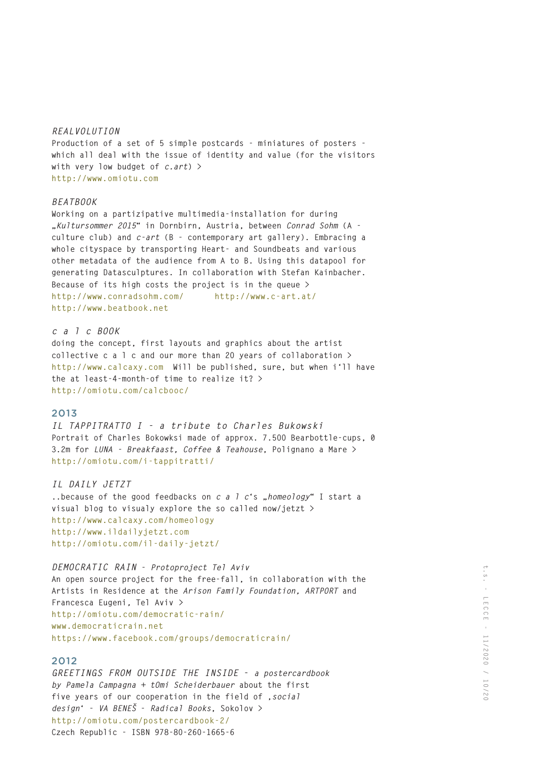### *REALVOLUTION*

**Production of a set of 5 simple postcards - miniatures of posters which all deal with the issue of identity and value (for the visitors with very low budget of** *c.art***) > http://www.omiotu.com**

## *BEATBOOK*

**Working on a partizipative multimedia-installation for during "Kultursommer 2015" in Dornbirn, Austria, between** *Conrad Sohm* **(A culture club) and** *c-art* **(B - contemporary art gallery). Embracing a whole cityspace by transporting Heart- and Soundbeats and various other metadata of the audience from A to B. Using this datapool for generating Datasculptures. In collaboration with Stefan Kainbacher. Because of its high costs the project is in the queue > http://www.conradsohm.com/ http://www.c-art.at/ http://www.beatbook.net** 

# *c a l c BOOK*

**doing the concept, first layouts and graphics about the artist collective c a l c and our more than 20 years of collaboration > http://www.calcaxy.com Will be published, sure, but when i'll have the at least-4-month-of time to realize it? > http://omiotu.com/calcbooc/**

## 2013

*IL TAPPITRATTO I - a tribute to Charles Bukowski* **Portrait of Charles Bokowksi made of approx. 7.500 Bearbottle-cups, 0 3.2m for** *LUNA - Breakfaast, Coffee & Teahouse***, Polignano a Mare > http://omiotu.com/i-tappitratti/**

### *IL DAILY JETZT*

**..because of the good feedbacks on** *c a l c***'s "***homeology***" I start a visual blog to visualy explore the so called now/jetzt > http://www.calcaxy.com/homeology http://www.ildailyjetzt.com http://omiotu.com/il-daily-jetzt/**

## *DEMOCRATIC RAIN* **-** *Protoproject Tel Aviv*

**An open source project for the free-fall, in collaboration with the Artists in Residence at the** *Arison Family Foundation, ARTPORT* **and Francesca Eugeni***,* **Tel Aviv** *>* **http://omiotu.com/democratic-rain/ www.democraticrain.net https://www.facebook.com/groups/democraticrain/**

## 2012

*GREETINGS FROM OUTSIDE THE INSIDE* **-** *a postercardbook by Pamela Campagna + tOmi Scheiderbauer* **about the first five years of our cooperation in the field of '***social design***' -** *VA BENEŠ* **-** *Radical Books***, Sokolov > http://omiotu.com/postercardbook-2/ Czech Republic - ISBN 978-80-260-1665-6**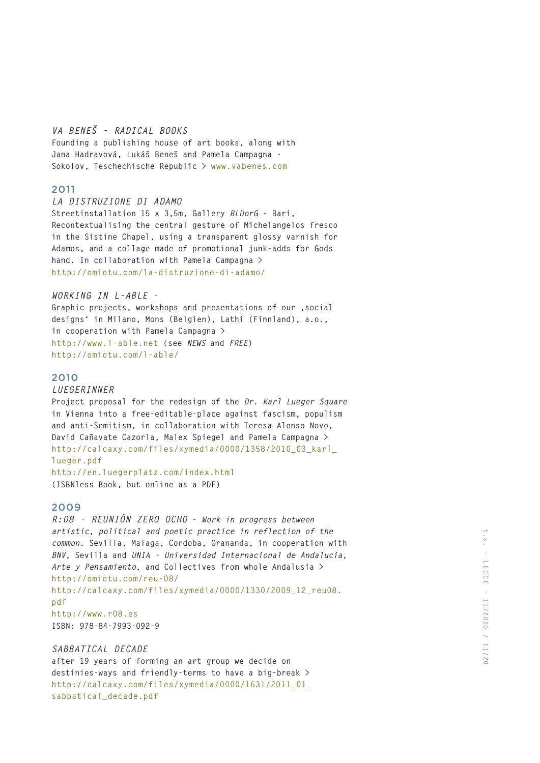# *VA BENEŠ - RADICAL BOOKS*

**Founding a publishing house of art books, along with Jana Hadravová, Lukáš Beneš and Pamela Campagna - Sokolov, Teschechische Republic > www.vabenes.com**

# 2011

### *LA DISTRUZIONE DI ADAMO*

**Streetinstallation 15 x 3,5m, Gallery** *BLUorG* **- Bari, Recontextualising the central gesture of Michelangelos fresco in the Sistine Chapel, using a transparent glossy varnish for Adamos, and a collage made of promotional junk-adds for Gods hand. In collaboration with Pamela Campagna > http://omiotu.com/la-distruzione-di-adamo/**

## *WORKING IN L-ABLE* **-**

**Graphic projects, workshops and presentations of our 'social designs' in Milano, Mons (Belgien), Lathi (Finnland), a.o., in cooperation with Pamela Campagna > http://www.l-able.net (see** *NEWS* **and** *FREE***) http://omiotu.com/l-able/**

# 2010

# *LUEGERINNER*

**Project proposal for the redesign of the** *Dr. Karl Lueger Square* **in Vienna into a free-editable-place against fascism, populism and anti-Semitism, in collaboration with Teresa Alonso Novo, David Cañavate Cazorla, Malex Spiegel and Pamela Campagna > http://calcaxy.com/files/xymedia/0000/1358/2010\_03\_karl\_ lueger.pdf http://en.luegerplatz.com/index.html** 

**(ISBNless Book, but online as a PDF)**

# 2009

*R:08 - REUNIÓN ZERO OCHO* **-** *Work in progress between artistic, political and poetic practice in reflection of the common***. Sevilla, Malaga, Cordoba, Grananda, in cooperation with**  *BNV***, Sevilla and** *UNIA - Universidad Internacional de Andalucia***,**  *Arte y Pensamiento***, and Collectives from whole Andalusia > http://omiotu.com/reu-08/ http://calcaxy.com/files/xymedia/0000/1330/2009\_12\_reu08. pdf http://www.r08.es ISBN: 978-84-7993-092-9**

# *SABBATICAL DECADE*

**after 19 years of forming an art group we decide on destinies-ways and friendly-terms to have a big-break > http://calcaxy.com/files/xymedia/0000/1631/2011\_01\_ sabbatical\_decade.pdf**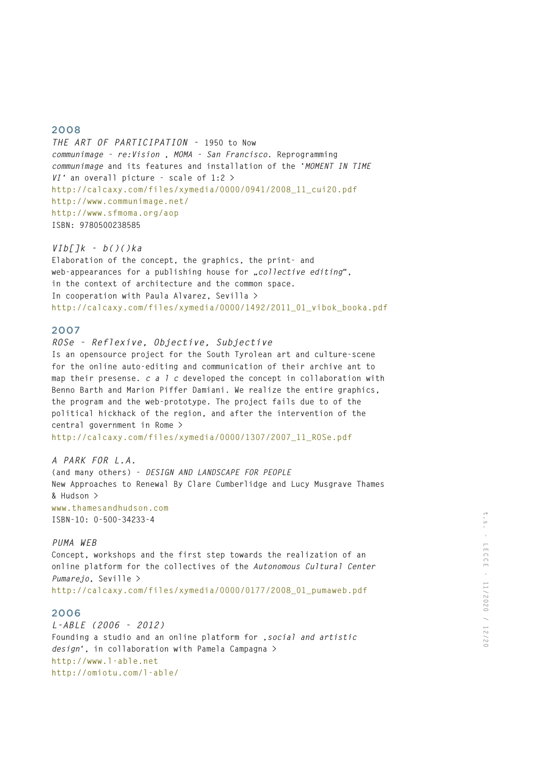*THE ART OF PARTICIPATION -* **1950 to Now**  *communimage - re:Vision* **,** *MOMA - San Francisco***. Reprogramming**  *communimage* **and its features and installation of the '***MOMENT IN TIME VI'* **an overall picture - scale of 1:2 > http://calcaxy.com/files/xymedia/0000/0941/2008\_11\_cui20.pdf http://www.communimage.net/ http://www.sfmoma.org/aop ISBN: 9780500238585**

### *VIb[]k - b()()ka*

**Elaboration of the concept, the graphics, the print- and** web-appearances for a publishing house for "collective editing", **in the context of architecture and the common space. In cooperation with Paula Alvarez, Sevilla > http://calcaxy.com/files/xymedia/0000/1492/2011\_01\_vibok\_booka.pdf**

## 2007

*ROSe - Reflexive, Objective, Subjective*  **Is an opensource project for the South Tyrolean art and culture-scene for the online auto-editing and communication of their archive ant to map their presense.** *c a l c* **developed the concept in collaboration with Benno Barth and Marion Piffer Damiani. We realize the entire graphics, the program and the web-prototype. The project fails due to of the political hickhack of the region, and after the intervention of the central government in Rome >** 

**http://calcaxy.com/files/xymedia/0000/1307/2007\_11\_ROSe.pdf**

## *A PARK FOR L.A.*

**(and many others) -** *DESIGN AND LANDSCAPE FOR PEOPLE* **New Approaches to Renewal By Clare Cumberlidge and Lucy Musgrave Thames & Hudson > www.thamesandhudson.com ISBN-10: 0-500-34233-4**

#### *PUMA WEB*

**Concept, workshops and the first step towards the realization of an online platform for the collectives of the** *Autonomous Cultural Center Pumarejo***, Seville > http://calcaxy.com/files/xymedia/0000/0177/2008\_01\_pumaweb.pdf**

## 2006

*L-ABLE (2006 - 2012)* **Founding a studio and an online platform for '***social and artistic design***', in collaboration with Pamela Campagna > http://www.l-able.net http://omiotu.com/l-able/**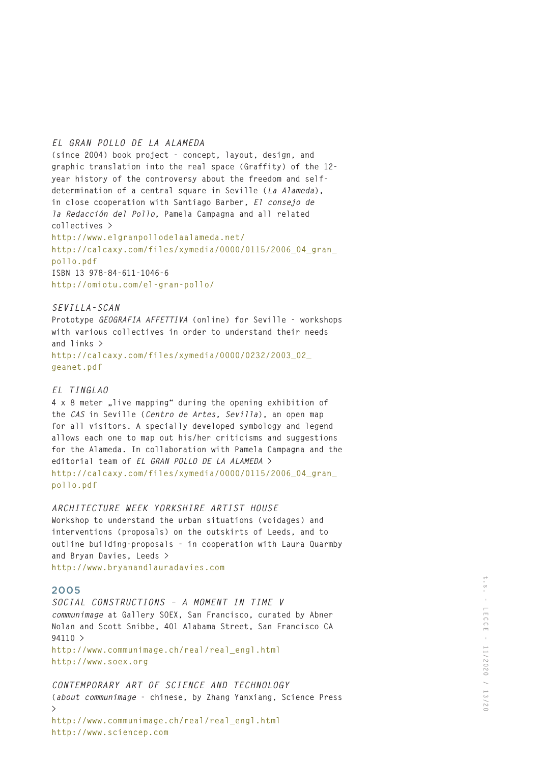## *EL GRAN POLLO DE LA ALAMEDA*

**(since 2004) book project - concept, layout, design, and graphic translation into the real space (Graffity) of the 12 year history of the controversy about the freedom and selfdetermination of a central square in Seville (***La Alameda***), in close cooperation with Santiago Barber,** *El consejo de la Redacción del Pollo***, Pamela Campagna and all related collectives > http://www.elgranpollodelaalameda.net/ http://calcaxy.com/files/xymedia/0000/0115/2006\_04\_gran\_ pollo.pdf ISBN 13 978-84-611-1046-6 http://omiotu.com/el-gran-pollo/**

## *SEVILLA-SCAN*

**Prototype** *GEOGRAFIA AFFETTIVA* **(online) for Seville - workshops with various collectives in order to understand their needs and links > http://calcaxy.com/files/xymedia/0000/0232/2003\_02\_ geanet.pdf**

### *EL TINGLAO*

**4 x 8 meter "live mapping" during the opening exhibition of the** *CAS* **in Seville (***Centro de Artes, Sevilla***), an open map for all visitors. A specially developed symbology and legend allows each one to map out his/her criticisms and suggestions for the Alameda. In collaboration with Pamela Campagna and the editorial team of** *EL GRAN POLLO DE LA ALAMEDA* **> http://calcaxy.com/files/xymedia/0000/0115/2006\_04\_gran\_ pollo.pdf**

# *ARCHITECTURE WEEK YORKSHIRE ARTIST HOUSE*

**Workshop to understand the urban situations (voidages) and interventions (proposals) on the outskirts of Leeds, and to outline building-proposals - in cooperation with Laura Quarmby and Bryan Davies, Leeds >** 

**http://www.bryanandlauradavies.com**

# 2005

*SOCIAL CONSTRUCTIONS – A MOMENT IN TIME V communimage* **at Gallery SOEX, San Francisco, curated by Abner Nolan and Scott Snibbe, 401 Alabama Street, San Francisco CA 94110 > http://www.communimage.ch/real/real\_engl.html http://www.soex.org**

*CONTEMPORARY ART OF SCIENCE AND TECHNOLOGY* **(***about communimage* **- chinese, by Zhang Yanxiang, Science Press > http://www.communimage.ch/real/real\_engl.html http://www.sciencep.com**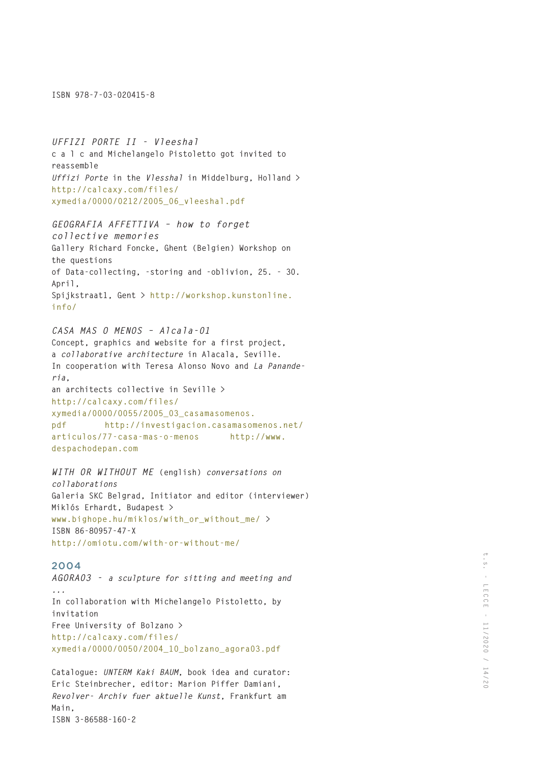**ISBN 978-7-03-020415-8**

*UFFIZI PORTE II - Vleeshal* **c a l c and Michelangelo Pistoletto got invited to reassemble**  *Uffizi Porte* **in the** *Vlesshal* **in Middelburg, Holland > http://calcaxy.com/files/ xymedia/0000/0212/2005\_06\_vleeshal.pdf**

*GEOGRAFIA AFFETTIVA – how to forget collective memories* **Gallery Richard Foncke, Ghent (Belgien) Workshop on the questions of Data-collecting, -storing and -oblivion, 25. - 30. April, Spijkstraat1, Gent > http://workshop.kunstonline. info/**

# *CASA MAS O MENOS – Alcala-01*

**Concept, graphics and website for a first project, a** *collaborative architecture* **in Alacala, Seville. In cooperation with Teresa Alonso Novo and** *La Panande ria***, an architects collective in Seville > http://calcaxy.com/files/ xymedia/0000/0055/2005\_03\_casamasomenos. pdf http://investigacion.casamasomenos.net/ articulos/77-casa-mas-o-menos http://www. despachodepan.com**

# *WITH OR WITHOUT ME* **(english)** *conversations on*

*collaborations* **Galeria SKC Belgrad, Initiator and editor (interviewer) Miklós Erhardt, Budapest > www.bighope.hu/miklos/with\_or\_without\_me/ > ISBN 86-80957-47-X http://omiotu.com/with-or-without-me/**

# 2004

*AGORA03 - a sculpture for sitting and meeting and ...* **In collaboration with Michelangelo Pistoletto, by invitation Free University of Bolzano > http://calcaxy.com/files/ xymedia/0000/0050/2004\_10\_bolzano\_agora03.pdf**

**Catalogue:** *UNTERM Kaki BAUM***, book idea and curator: Eric Steinbrecher, editor: Marion Piffer Damiani,**  *Revolver- Archiv fuer aktuelle Kunst***, Frankfurt am Main, ISBN 3-86588-160-2**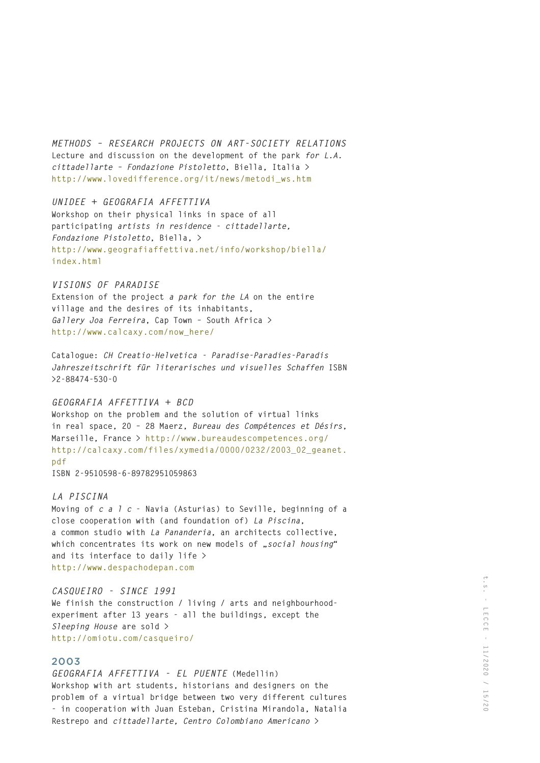*METHODS – RESEARCH PROJECTS ON ART-SOCIETY RELATIONS*  **Lecture and discussion on the development of the park** *for L.A. cittadellarte – Fondazione Pistoletto***, Biella, Italia > http://www.lovedifference.org/it/news/metodi\_ws.htm**

*UNIDEE + GEOGRAFIA AFFETTIVA* **Workshop on their physical links in space of all participating** *artists in residence - cittadellarte, Fondazione Pistoletto***, Biella, > http://www.geografiaffettiva.net/info/workshop/biella/ index.html**

### *VISIONS OF PARADISE*

**Extension of the project** *a park for the LA* **on the entire village and the desires of its inhabitants,**  *Gallery Joa Ferreira***, Cap Town – South Africa > http://www.calcaxy.com/now\_here/**

**Catalogue:** *CH Creatio-Helvetica - Paradise-Paradies-Paradis Jahreszeitschrift für literarisches und visuelles Schaffen* **ISBN >2-88474-530-0**

# *GEOGRAFIA AFFETTIVA + BCD*

**Workshop on the problem and the solution of virtual links in real space, 20 – 28 Maerz,** *Bureau des Compétences et Désirs***, Marseille, France > http://www.bureaudescompetences.org/ http://calcaxy.com/files/xymedia/0000/0232/2003\_02\_geanet. pdf**

**ISBN 2-9510598-6-89782951059863**

## *LA PISCINA*

**Moving of** *c a l c* **- Navia (Asturias) to Seville, beginning of a close cooperation with (and foundation of)** *La Piscina***, a common studio with** *La Pananderia***, an architects collective,**  which concentrates its work on new models of ..social housing" **and its interface to daily life > http://www.despachodepan.com**

### *CASQUEIRO - SINCE 1991*

**We finish the construction / living / arts and neighbourhoodexperiment after 13 years - all the buildings, except the**  *Sleeping House* **are sold > http://omiotu.com/casqueiro/**

# 2003

*GEOGRAFIA AFFETTIVA - EL PUENTE* **(Medellin) Workshop with art students, historians and designers on the problem of a virtual bridge between two very different cultures - in cooperation with Juan Esteban, Cristina Mirandola, Natalia Restrepo and** *cittadellarte, Centro Colombiano Americano* **>**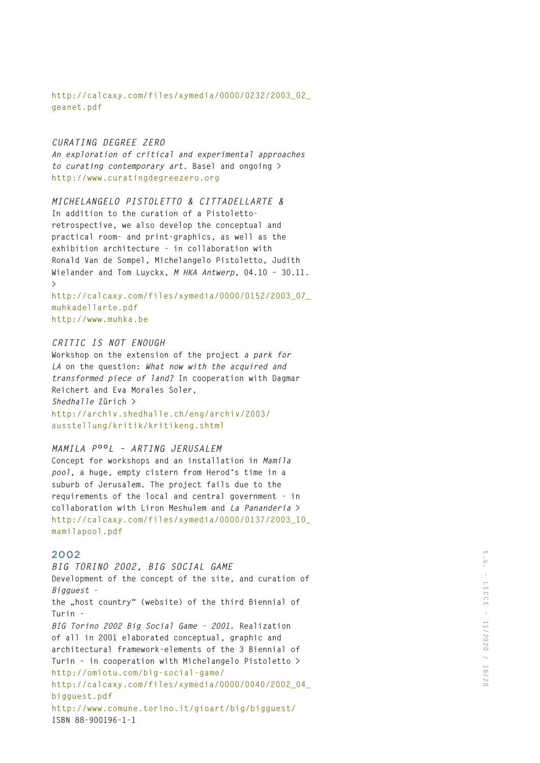**http://calcaxy.com/files/xymedia/0000/0232/2003\_02\_ geanet.pdf**

#### *CURATING DEGREE ZERO*

*An exploration of critical and experimental approaches to curating contemporary art.* **Basel and ongoing > http://www.curatingdegreezero.org**

## *MICHELANGELO PISTOLETTO & CITTADELLARTE &*

**In addition to the curation of a Pistolettoretrospective, we also develop the conceptual and practical room- and print-graphics, as well as the exhibition architecture - in collaboration with Ronald Van de Sompel, Michelangelo Pistoletto, Judith Wielander and Tom Luyckx,** *M HKA Antwerp***, 04.10 – 30.11. >** 

**http://calcaxy.com/files/xymedia/0000/0152/2003\_07\_ muhkadellarte.pdf http://www.muhka.be**

### *CRITIC IS NOT ENOUGH*

**Workshop on the extension of the project** *a park for LA* **on the question:** *What now with the acquired and transformed piece of land?* **In cooperation with Dagmar Reichert and Eva Morales Soler,**  *Shedhalle* **Zürich > http://archiv.shedhalle.ch/eng/archiv/2003/**

**ausstellung/kritik/kritikeng.shtml**

#### *MAMILA P°°L – ARTING JERUSALEM*

**Concept for workshops and an installation in** *Mamila pool***, a huge, empty cistern from Herod's time in a suburb of Jerusalem. The project fails due to the requirements of the local and central government - in collaboration with Liron Meshulem and** *La Pananderia* **> http://calcaxy.com/files/xymedia/0000/0137/2003\_10\_ mamilapool.pdf**

# 2002

*BIG TORINO 2002, BIG SOCIAL GAME* **Development of the concept of the site, and curation of**  *Bigguest* the "host country" (website) of the third Biennial of **Turin -**  *BIG Torino 2002 Big Social Game - 2001***. Realization of all in 2001 elaborated conceptual, graphic and architectural framework-elements of the 3 Biennial of Turin - in cooperation with Michelangelo Pistoletto > http://omiotu.com/big-social-game/ http://calcaxy.com/files/xymedia/0000/0040/2002\_04\_ bigguest.pdf http://www.comune.torino.it/gioart/big/bigguest/ ISBN 88-900196-1-1**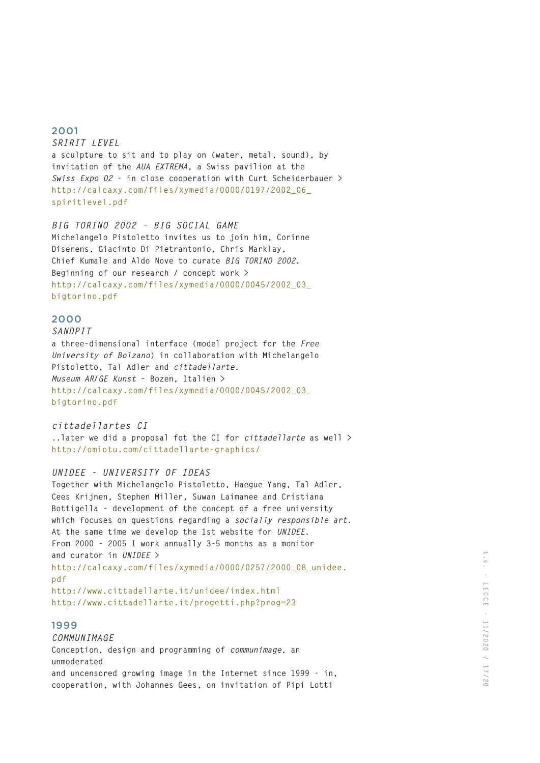*SRIRIT LEVEL*  **a sculpture to sit and to play on (water, metal, sound), by invitation of the** *AUA EXTREMA***, a Swiss pavilion at the**  *Swiss Expo 02* **- in close cooperation with Curt Scheiderbauer > http://calcaxy.com/files/xymedia/0000/0197/2002\_06\_ spiritlevel.pdf**

*BIG TORINO 2002 – BIG SOCIAL GAME* **Michelangelo Pistoletto invites us to join him, Corinne Diserens, Giacinto Di Pietrantonio, Chris Marklay, Chief Kumale and Aldo Nove to curate** *BIG TORINO 2002***. Beginning of our research / concept work > http://calcaxy.com/files/xymedia/0000/0045/2002\_03\_ bigtorino.pdf**

# 2000

# *SANDPIT* **a three-dimensional interface (model project for the** *Free University of Bolzano***) in collaboration with Michelangelo Pistoletto, Tal Adler and** *cittadellarte. Museum AR/GE Kunst* **– Bozen, Italien > http://calcaxy.com/files/xymedia/0000/0045/2002\_03\_ bigtorino.pdf**

## *cittadellartes CI*

**..later we did a proposal fot the CI for** *cittadellarte* **as well > http://omiotu.com/cittadellarte-graphics/**

# *UNIDEE - UNIVERSITY OF IDEAS*

**Together with Michelangelo Pistoletto, Haegue Yang, Tal Adler, Cees Krijnen, Stephen Miller, Suwan Laimanee and Cristiana Bottigella - development of the concept of a free university which focuses on questions regarding a socially responsible art. At the same time we develop the 1st website for** *UNIDEE***. From 2000 - 2005 I work annually 3-5 months as a monitor and curator in** *UNIDEE* **> http://calcaxy.com/files/xymedia/0000/0257/2000\_08\_unidee. pdf http://www.cittadellarte.it/unidee/index.html http://www.cittadellarte.it/progetti.php?prog=23**

## 1999

*COMMUNIMAGE* **Conception, design and programming of** *communimage***, an unmoderated and uncensored growing image in the Internet since 1999 - in, cooperation, with Johannes Gees, on invitation of Pipi Lotti**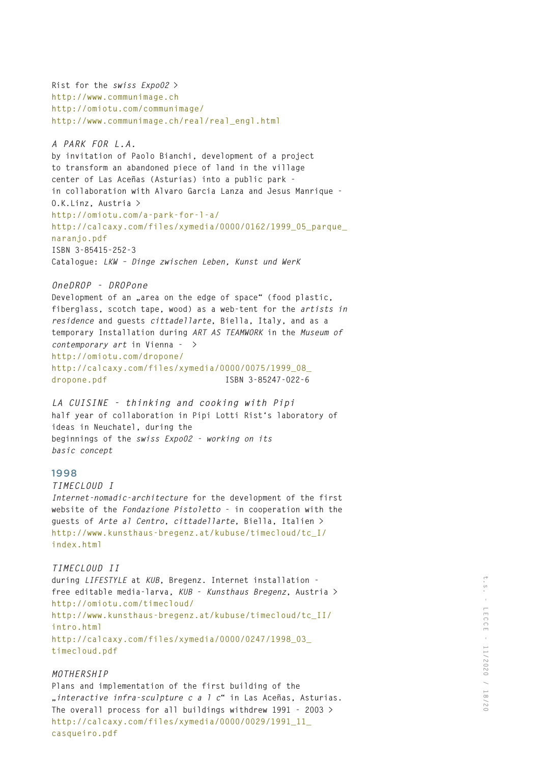**Rist for the** *swiss Expo02* **> http://www.communimage.ch http://omiotu.com/communimage/ http://www.communimage.ch/real/real\_engl.html**

*A PARK FOR L.A.*

**by invitation of Paolo Bianchi, development of a project to transform an abandoned piece of land in the village center of Las Aceñas (Asturias) into a public park in collaboration with Alvaro Garcia Lanza and Jesus Manrique - O.K.Linz, Austria > http://omiotu.com/a-park-for-l-a/ http://calcaxy.com/files/xymedia/0000/0162/1999\_05\_parque\_ naranjo.pdf ISBN 3-85415-252-3 Catalogue:** *LKW – Dinge zwischen Leben, Kunst und WerK*

#### *OneDROP - DROPone*

Development of an .area on the edge of space" (food plastic. **fiberglass, scotch tape, wood) as a web-tent for the** *artists in residence* **and guests** *cittadellarte***, Biella, Italy, and as a temporary Installation during** *ART AS TEAMWORK* **in the** *Museum of contemporary art* **in Vienna - > http://omiotu.com/dropone/ http://calcaxy.com/files/xymedia/0000/0075/1999\_08\_**

```
dropone.pdf ISBN 3-85247-022-6
```
*LA CUISINE - thinking and cooking with Pipi* **half year of collaboration in Pipi Lotti Rist's laboratory of ideas in Neuchatel, during the beginnings of the** *swiss Expo02 - working on its basic concept*

# 1998

*TIMECLOUD I* 

*Internet-nomadic-architecture* **for the development of the first website of the** *Fondazione Pistoletto* **- in cooperation with the guests of** *Arte al Centro***,** *cittadellarte***, Biella, Italien > http://www.kunsthaus-bregenz.at/kubuse/timecloud/tc\_I/ index.html**

# *TIMECLOUD II*

**during** *LIFESTYLE* **at** *KUB***, Bregenz. Internet installation free editable media-larva,** *KUB* **-** *Kunsthaus Bregenz***, Austria > http://omiotu.com/timecloud/ http://www.kunsthaus-bregenz.at/kubuse/timecloud/tc\_II/ intro.html http://calcaxy.com/files/xymedia/0000/0247/1998\_03\_ timecloud.pdf**

# *MOTHERSHIP*

**Plans and implementation of the first building of the "***interactive infra-sculpture c a l c***" in Las Aceñas, Asturias. The overall process for all buildings withdrew 1991 - 2003 > http://calcaxy.com/files/xymedia/0000/0029/1991\_11\_ casqueiro.pdf**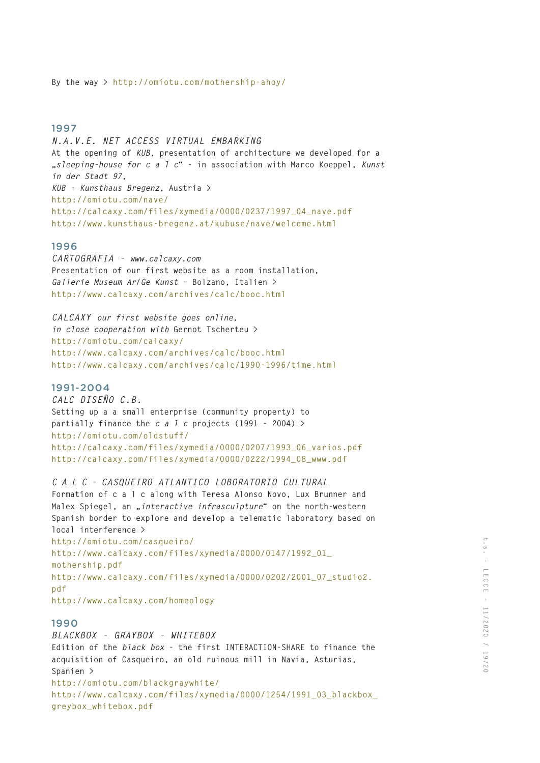*N.A.V.E. NET ACCESS VIRTUAL EMBARKING* **At the opening of** *KUB***, presentation of architecture we developed for a "***sleeping-house for c a l c***" - in association with Marco Koeppel,** *Kunst in der Stadt 97***,**  *KUB - Kunsthaus Bregenz***, Austria > http://omiotu.com/nave/ http://calcaxy.com/files/xymedia/0000/0237/1997\_04\_nave.pdf http://www.kunsthaus-bregenz.at/kubuse/nave/welcome.html** 

### 1996

*CARTOGRAFIA - www.calcaxy.com* **Presentation of our first website as a room installation,**  *Gallerie Museum Ar/Ge Kunst* **– Bolzano, Italien > http://www.calcaxy.com/archives/calc/booc.html**

*CALCAXY our first website goes online, in close cooperation with* **Gernot Tscherteu > http://omiotu.com/calcaxy/ http://www.calcaxy.com/archives/calc/booc.html http://www.calcaxy.com/archives/calc/1990-1996/time.html**

# 1991-2004

*CALC DISEÑO C.B.* **Setting up a a small enterprise (community property) to partially finance the** *c a l c* **projects (1991 - 2004) > http://omiotu.com/oldstuff/ http://calcaxy.com/files/xymedia/0000/0207/1993\_06\_varios.pdf http://calcaxy.com/files/xymedia/0000/0222/1994\_08\_www.pdf**

*C A L C - CASQUEIRO ATLANTICO LOBORATORIO CULTURAL*

**Formation of c a l c along with Teresa Alonso Novo, Lux Brunner and Malex Spiegel, an "***interactive infrasculpture***" on the north-western Spanish border to explore and develop a telematic laboratory based on local interference >** 

**http://omiotu.com/casqueiro/ http://www.calcaxy.com/files/xymedia/0000/0147/1992\_01\_ mothership.pdf http://www.calcaxy.com/files/xymedia/0000/0202/2001\_07\_studio2. pdf http://www.calcaxy.com/homeology** 

## 1990

*BLACKBOX - GRAYBOX - WHITEBOX* **Edition of the** *black box* **- the first INTERACTION-SHARE to finance the acquisition of Casqueiro, an old ruinous mill in Navia, Asturias, Spanien > http://omiotu.com/blackgraywhite/ http://www.calcaxy.com/files/xymedia/0000/1254/1991\_03\_blackbox\_ greybox\_whitebox.pdf**